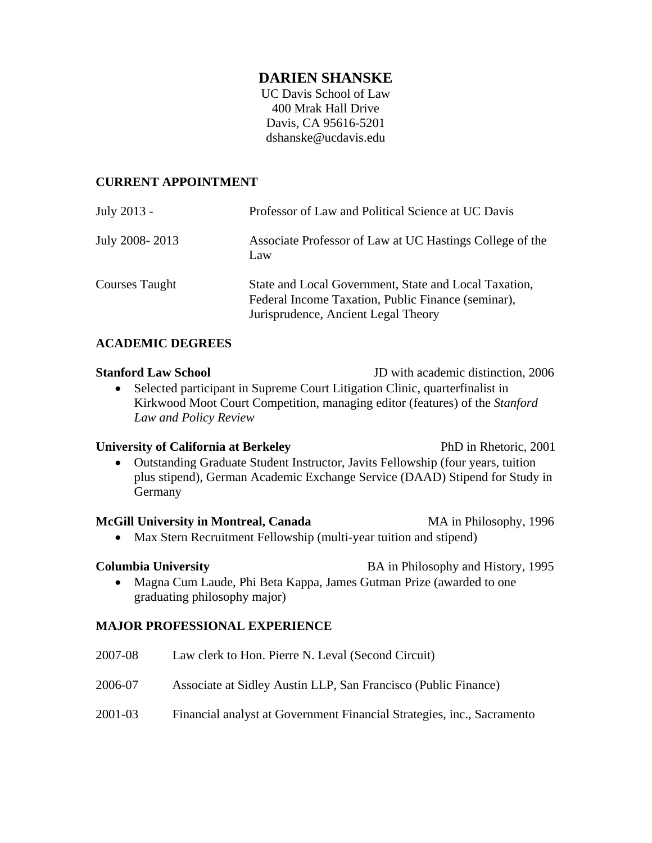# **DARIEN SHANSKE**

UC Davis School of Law 400 Mrak Hall Drive Davis, CA 95616-5201 dshanske@ucdavis.edu

## **CURRENT APPOINTMENT**

| July 2013 -    | Professor of Law and Political Science at UC Davis                                                                                                 |
|----------------|----------------------------------------------------------------------------------------------------------------------------------------------------|
| July 2008-2013 | Associate Professor of Law at UC Hastings College of the<br>Law                                                                                    |
| Courses Taught | State and Local Government, State and Local Taxation,<br>Federal Income Taxation, Public Finance (seminar),<br>Jurisprudence, Ancient Legal Theory |

## **ACADEMIC DEGREES**

**Stanford Law School** JD with academic distinction, 2006

• Selected participant in Supreme Court Litigation Clinic, quarterfinalist in Kirkwood Moot Court Competition, managing editor (features) of the *Stanford Law and Policy Review*

## **University of California at Berkeley** PhD in Rhetoric, 2001 Outstanding Graduate Student Instructor, Javits Fellowship (four years, tuition plus stipend), German Academic Exchange Service (DAAD) Stipend for Study in Germany

### **McGill University in Montreal, Canada** MA in Philosophy, 1996

• Max Stern Recruitment Fellowship (multi-year tuition and stipend)

**Columbia University BA** in Philosophy and History, 1995

• Magna Cum Laude, Phi Beta Kappa, James Gutman Prize (awarded to one graduating philosophy major)

## **MAJOR PROFESSIONAL EXPERIENCE**

2007-08 Law clerk to Hon. Pierre N. Leval (Second Circuit) 2006-07 Associate at Sidley Austin LLP, San Francisco (Public Finance) 2001-03 Financial analyst at Government Financial Strategies, inc., Sacramento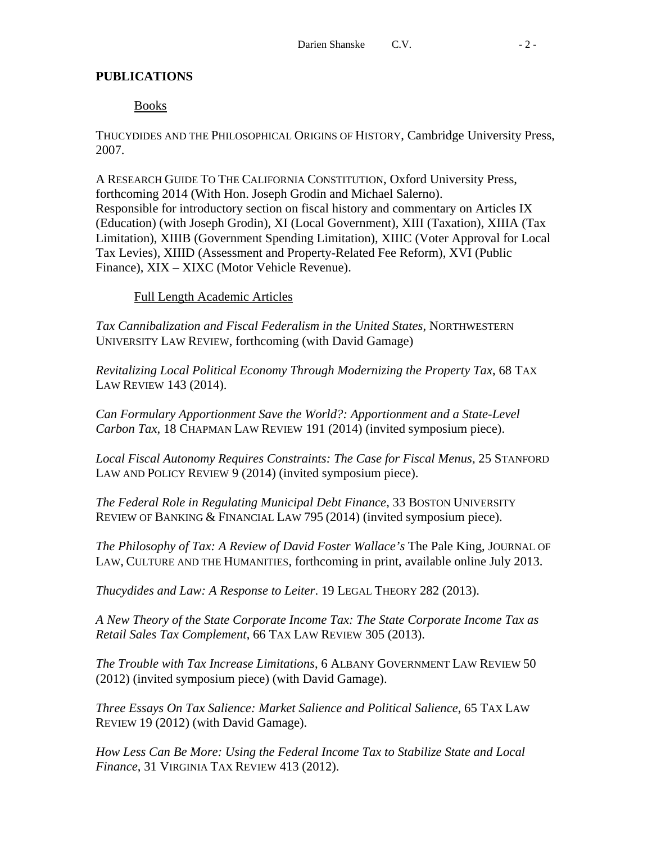# **PUBLICATIONS**

# Books

THUCYDIDES AND THE PHILOSOPHICAL ORIGINS OF HISTORY, Cambridge University Press, 2007.

A RESEARCH GUIDE TO THE CALIFORNIA CONSTITUTION, Oxford University Press, forthcoming 2014 (With Hon. Joseph Grodin and Michael Salerno). Responsible for introductory section on fiscal history and commentary on Articles IX (Education) (with Joseph Grodin), XI (Local Government), XIII (Taxation), XIIIA (Tax Limitation), XIIIB (Government Spending Limitation), XIIIC (Voter Approval for Local Tax Levies), XIIID (Assessment and Property-Related Fee Reform), XVI (Public Finance), XIX – XIXC (Motor Vehicle Revenue).

# Full Length Academic Articles

*Tax Cannibalization and Fiscal Federalism in the United States*, NORTHWESTERN UNIVERSITY LAW REVIEW, forthcoming (with David Gamage)

*Revitalizing Local Political Economy Through Modernizing the Property Tax*, 68 TAX LAW REVIEW 143 (2014).

*Can Formulary Apportionment Save the World?: Apportionment and a State-Level Carbon Tax*, 18 CHAPMAN LAW REVIEW 191 (2014) (invited symposium piece).

*Local Fiscal Autonomy Requires Constraints: The Case for Fiscal Menus,* 25 STANFORD LAW AND POLICY REVIEW 9 (2014) (invited symposium piece).

*The Federal Role in Regulating Municipal Debt Finance*, 33 BOSTON UNIVERSITY REVIEW OF BANKING & FINANCIAL LAW 795 (2014) (invited symposium piece).

*The Philosophy of Tax: A Review of David Foster Wallace's* The Pale King, JOURNAL OF LAW, CULTURE AND THE HUMANITIES, forthcoming in print, available online July 2013.

*Thucydides and Law: A Response to Leiter*. 19 LEGAL THEORY 282 (2013).

*A New Theory of the State Corporate Income Tax: The State Corporate Income Tax as Retail Sales Tax Complement*, 66 TAX LAW REVIEW 305 (2013).

*The Trouble with Tax Increase Limitations*, 6 ALBANY GOVERNMENT LAW REVIEW 50 (2012) (invited symposium piece) (with David Gamage).

*Three Essays On Tax Salience: Market Salience and Political Salience*, 65 TAX LAW REVIEW 19 (2012) (with David Gamage).

*How Less Can Be More: Using the Federal Income Tax to Stabilize State and Local Finance*, 31 VIRGINIA TAX REVIEW 413 (2012).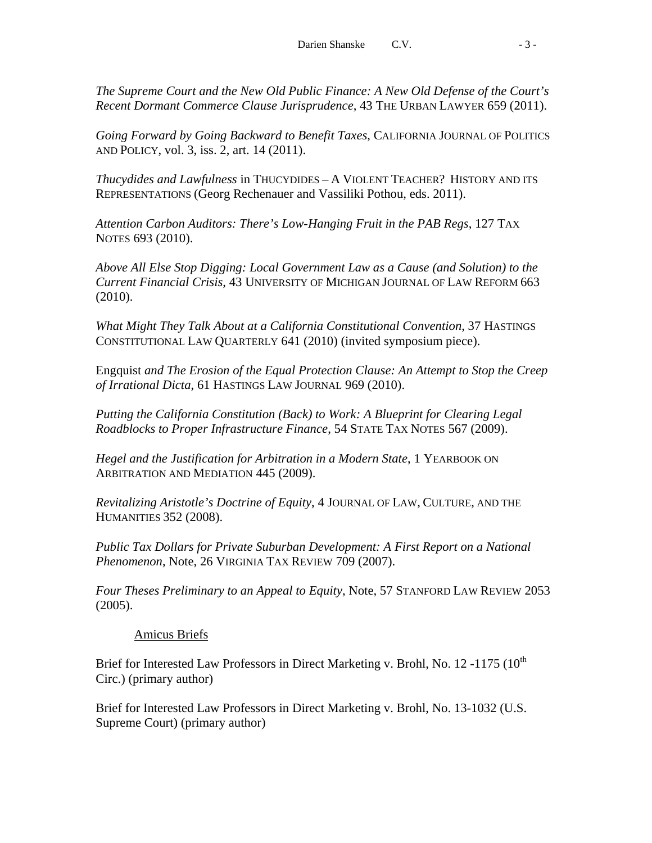*The Supreme Court and the New Old Public Finance: A New Old Defense of the Court's Recent Dormant Commerce Clause Jurisprudence*, 43 THE URBAN LAWYER 659 (2011).

*Going Forward by Going Backward to Benefit Taxes*, CALIFORNIA JOURNAL OF POLITICS AND POLICY, vol. 3, iss. 2, art. 14 (2011).

*Thucydides and Lawfulness* in THUCYDIDES – A VIOLENT TEACHER? HISTORY AND ITS REPRESENTATIONS (Georg Rechenauer and Vassiliki Pothou, eds. 2011).

*Attention Carbon Auditors: There's Low-Hanging Fruit in the PAB Regs*, 127 TAX NOTES 693 (2010).

*Above All Else Stop Digging: Local Government Law as a Cause (and Solution) to the Current Financial Crisis*, 43 UNIVERSITY OF MICHIGAN JOURNAL OF LAW REFORM 663 (2010).

*What Might They Talk About at a California Constitutional Convention*, 37 HASTINGS CONSTITUTIONAL LAW QUARTERLY 641 (2010) (invited symposium piece).

Engquist *and The Erosion of the Equal Protection Clause: An Attempt to Stop the Creep of Irrational Dicta*, 61 HASTINGS LAW JOURNAL 969 (2010).

*Putting the California Constitution (Back) to Work: A Blueprint for Clearing Legal Roadblocks to Proper Infrastructure Finance*, 54 STATE TAX NOTES 567 (2009).

*Hegel and the Justification for Arbitration in a Modern State*, 1 YEARBOOK ON ARBITRATION AND MEDIATION 445 (2009).

*Revitalizing Aristotle's Doctrine of Equity*, 4 JOURNAL OF LAW, CULTURE, AND THE HUMANITIES 352 (2008).

*Public Tax Dollars for Private Suburban Development: A First Report on a National Phenomenon*, Note, 26 VIRGINIA TAX REVIEW 709 (2007).

*Four Theses Preliminary to an Appeal to Equity*, Note, 57 STANFORD LAW REVIEW 2053 (2005).

# Amicus Briefs

Brief for Interested Law Professors in Direct Marketing v. Brohl, No. 12 -1175 ( $10^{th}$ ) Circ.) (primary author)

Brief for Interested Law Professors in Direct Marketing v. Brohl, No. 13-1032 (U.S. Supreme Court) (primary author)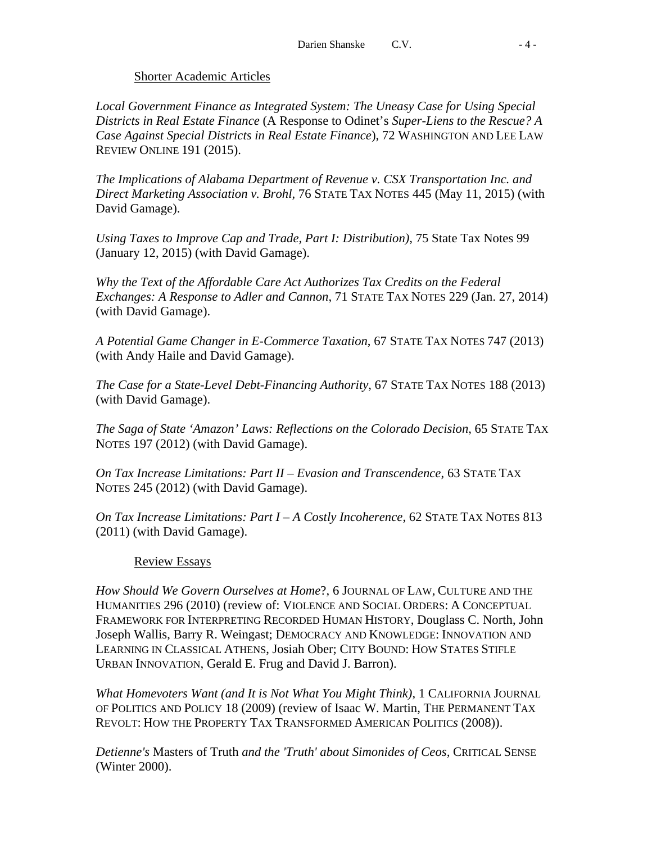## Shorter Academic Articles

*Local Government Finance as Integrated System: The Uneasy Case for Using Special Districts in Real Estate Finance* (A Response to Odinet's *Super-Liens to the Rescue? A Case Against Special Districts in Real Estate Finance*), 72 WASHINGTON AND LEE LAW REVIEW ONLINE 191 (2015).

*The Implications of Alabama Department of Revenue v. CSX Transportation Inc. and Direct Marketing Association v. Brohl,* 76 STATE TAX NOTES 445 (May 11, 2015) (with David Gamage).

*Using Taxes to Improve Cap and Trade, Part I: Distribution), 75 State Tax Notes 99* (January 12, 2015) (with David Gamage).

*Why the Text of the Affordable Care Act Authorizes Tax Credits on the Federal Exchanges: A Response to Adler and Cannon*, 71 STATE TAX NOTES 229 (Jan. 27, 2014) (with David Gamage).

*A Potential Game Changer in E-Commerce Taxation*, 67 STATE TAX NOTES 747 (2013) (with Andy Haile and David Gamage).

*The Case for a State-Level Debt-Financing Authority*, 67 STATE TAX NOTES 188 (2013) (with David Gamage).

*The Saga of State 'Amazon' Laws: Reflections on the Colorado Decision*, 65 STATE TAX NOTES 197 (2012) (with David Gamage).

*On Tax Increase Limitations: Part II – Evasion and Transcendence*, 63 STATE TAX NOTES 245 (2012) (with David Gamage).

*On Tax Increase Limitations: Part I – A Costly Incoherence*, 62 STATE TAX NOTES 813 (2011) (with David Gamage).

## Review Essays

*How Should We Govern Ourselves at Home*?, 6 JOURNAL OF LAW, CULTURE AND THE HUMANITIES 296 (2010) (review of: VIOLENCE AND SOCIAL ORDERS: A CONCEPTUAL FRAMEWORK FOR INTERPRETING RECORDED HUMAN HISTORY, Douglass C. North, John Joseph Wallis, Barry R. Weingast; DEMOCRACY AND KNOWLEDGE: INNOVATION AND LEARNING IN CLASSICAL ATHENS, Josiah Ober; CITY BOUND: HOW STATES STIFLE URBAN INNOVATION, Gerald E. Frug and David J. Barron).

*What Homevoters Want (and It is Not What You Might Think)*, 1 CALIFORNIA JOURNAL OF POLITICS AND POLICY 18 (2009) (review of Isaac W. Martin, THE PERMANENT TAX REVOLT: HOW THE PROPERTY TAX TRANSFORMED AMERICAN POLITIC*s* (2008)).

*Detienne's* Masters of Truth *and the 'Truth' about Simonides of Ceos,* CRITICAL SENSE (Winter 2000).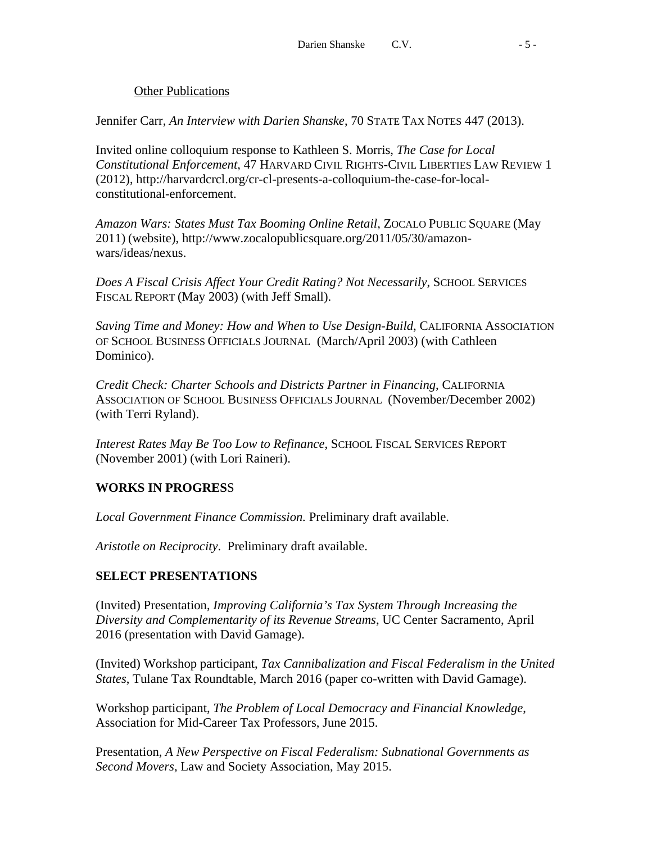## Other Publications

Jennifer Carr, *An Interview with Darien Shanske*, 70 STATE TAX NOTES 447 (2013).

Invited online colloquium response to Kathleen S. Morris, *The Case for Local Constitutional Enforcement*, 47 HARVARD CIVIL RIGHTS-CIVIL LIBERTIES LAW REVIEW 1 (2012), http://harvardcrcl.org/cr-cl-presents-a-colloquium-the-case-for-localconstitutional-enforcement.

*Amazon Wars: States Must Tax Booming Online Retail*, ZOCALO PUBLIC SQUARE (May 2011) (website), http://www.zocalopublicsquare.org/2011/05/30/amazonwars/ideas/nexus.

*Does A Fiscal Crisis Affect Your Credit Rating? Not Necessarily*, SCHOOL SERVICES FISCAL REPORT (May 2003) (with Jeff Small).

*Saving Time and Money: How and When to Use Design-Build*, CALIFORNIA ASSOCIATION OF SCHOOL BUSINESS OFFICIALS JOURNAL (March/April 2003) (with Cathleen Dominico).

*Credit Check: Charter Schools and Districts Partner in Financing*, CALIFORNIA ASSOCIATION OF SCHOOL BUSINESS OFFICIALS JOURNAL (November/December 2002) (with Terri Ryland).

*Interest Rates May Be Too Low to Refinance*, SCHOOL FISCAL SERVICES REPORT (November 2001) (with Lori Raineri).

## **WORKS IN PROGRES**S

*Local Government Finance Commission.* Preliminary draft available.

*Aristotle on Reciprocity*. Preliminary draft available.

## **SELECT PRESENTATIONS**

(Invited) Presentation, *Improving California's Tax System Through Increasing the Diversity and Complementarity of its Revenue Streams*, UC Center Sacramento, April 2016 (presentation with David Gamage).

(Invited) Workshop participant, *Tax Cannibalization and Fiscal Federalism in the United States*, Tulane Tax Roundtable, March 2016 (paper co-written with David Gamage).

Workshop participant, *The Problem of Local Democracy and Financial Knowledge*, Association for Mid-Career Tax Professors, June 2015.

Presentation, *A New Perspective on Fiscal Federalism: Subnational Governments as Second Movers*, Law and Society Association, May 2015.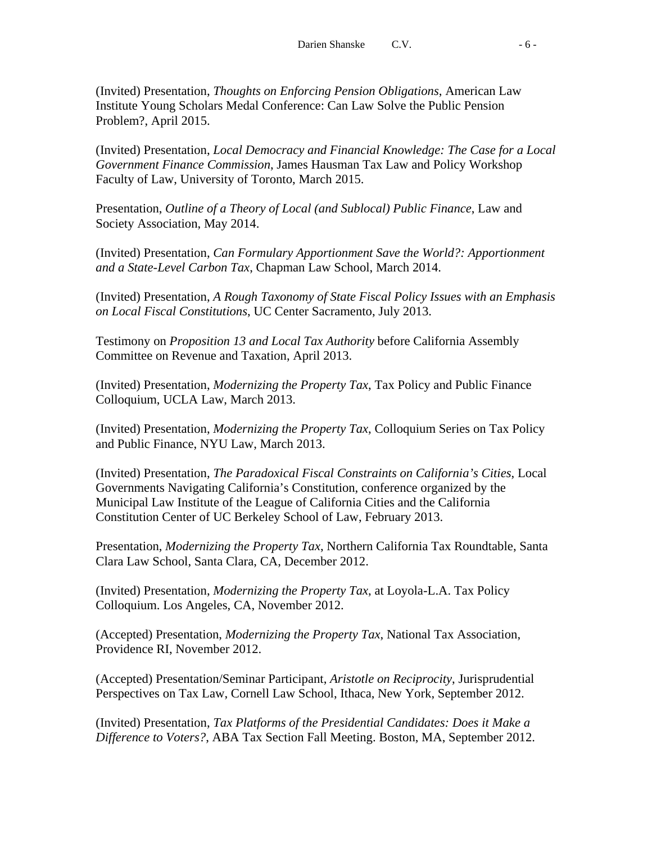(Invited) Presentation, *Thoughts on Enforcing Pension Obligations*, American Law Institute Young Scholars Medal Conference: Can Law Solve the Public Pension Problem?, April 2015.

(Invited) Presentation, *Local Democracy and Financial Knowledge: The Case for a Local Government Finance Commission*, James Hausman Tax Law and Policy Workshop Faculty of Law, University of Toronto, March 2015.

Presentation, *Outline of a Theory of Local (and Sublocal) Public Finance*, Law and Society Association, May 2014.

(Invited) Presentation, *Can Formulary Apportionment Save the World?: Apportionment and a State-Level Carbon Tax*, Chapman Law School, March 2014.

(Invited) Presentation, *A Rough Taxonomy of State Fiscal Policy Issues with an Emphasis on Local Fiscal Constitutions*, UC Center Sacramento, July 2013.

Testimony on *Proposition 13 and Local Tax Authority* before California Assembly Committee on Revenue and Taxation, April 2013.

(Invited) Presentation, *Modernizing the Property Tax*, Tax Policy and Public Finance Colloquium, UCLA Law, March 2013.

(Invited) Presentation, *Modernizing the Property Tax*, Colloquium Series on Tax Policy and Public Finance, NYU Law, March 2013.

(Invited) Presentation, *The Paradoxical Fiscal Constraints on California's Cities*, Local Governments Navigating California's Constitution, conference organized by the Municipal Law Institute of the League of California Cities and the California Constitution Center of UC Berkeley School of Law, February 2013.

Presentation, *Modernizing the Property Tax*, Northern California Tax Roundtable, Santa Clara Law School, Santa Clara, CA, December 2012.

(Invited) Presentation, *Modernizing the Property Tax*, at Loyola-L.A. Tax Policy Colloquium. Los Angeles, CA, November 2012.

(Accepted) Presentation, *Modernizing the Property Tax*, National Tax Association, Providence RI, November 2012.

(Accepted) Presentation/Seminar Participant, *Aristotle on Reciprocity*, Jurisprudential Perspectives on Tax Law, Cornell Law School, Ithaca, New York, September 2012.

(Invited) Presentation, *Tax Platforms of the Presidential Candidates: Does it Make a Difference to Voters?*, ABA Tax Section Fall Meeting. Boston, MA, September 2012.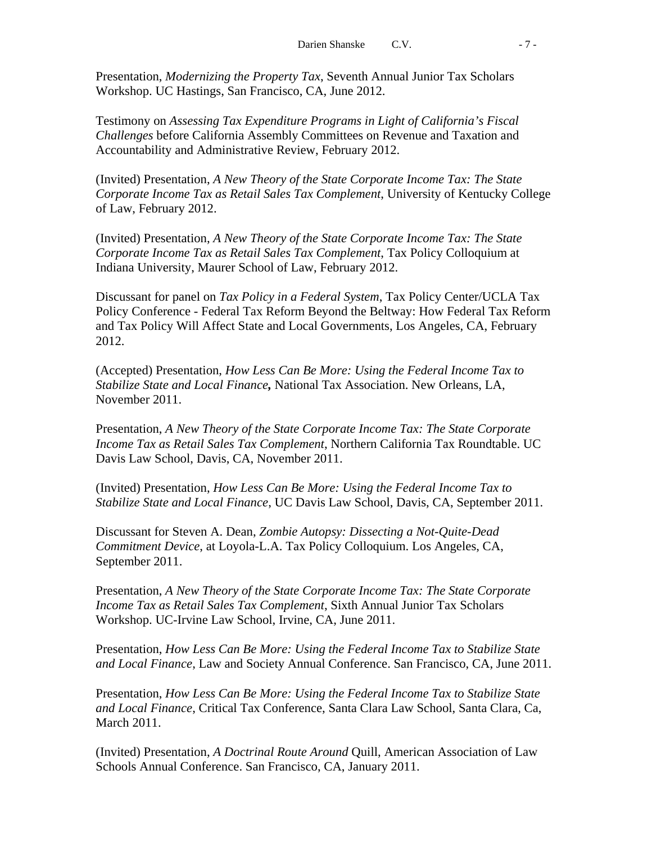Presentation, *Modernizing the Property Tax*, Seventh Annual Junior Tax Scholars Workshop. UC Hastings, San Francisco, CA, June 2012.

Testimony on *Assessing Tax Expenditure Programs in Light of California's Fiscal Challenges* before California Assembly Committees on Revenue and Taxation and Accountability and Administrative Review, February 2012.

(Invited) Presentation, *A New Theory of the State Corporate Income Tax: The State Corporate Income Tax as Retail Sales Tax Complement*, University of Kentucky College of Law, February 2012.

(Invited) Presentation, *A New Theory of the State Corporate Income Tax: The State Corporate Income Tax as Retail Sales Tax Complement*, Tax Policy Colloquium at Indiana University, Maurer School of Law, February 2012.

Discussant for panel on *Tax Policy in a Federal System*, Tax Policy Center/UCLA Tax Policy Conference - Federal Tax Reform Beyond the Beltway: How Federal Tax Reform and Tax Policy Will Affect State and Local Governments, Los Angeles, CA, February 2012.

(Accepted) Presentation, *How Less Can Be More: Using the Federal Income Tax to Stabilize State and Local Finance,* National Tax Association. New Orleans, LA, November 2011.

Presentation, *A New Theory of the State Corporate Income Tax: The State Corporate Income Tax as Retail Sales Tax Complement*, Northern California Tax Roundtable. UC Davis Law School, Davis, CA, November 2011.

(Invited) Presentation, *How Less Can Be More: Using the Federal Income Tax to Stabilize State and Local Finance*, UC Davis Law School, Davis, CA, September 2011.

Discussant for Steven A. Dean, *Zombie Autopsy: Dissecting a Not-Quite-Dead Commitment Device*, at Loyola-L.A. Tax Policy Colloquium. Los Angeles, CA, September 2011.

Presentation, *A New Theory of the State Corporate Income Tax: The State Corporate Income Tax as Retail Sales Tax Complement*, Sixth Annual Junior Tax Scholars Workshop. UC-Irvine Law School, Irvine, CA, June 2011.

Presentation, *How Less Can Be More: Using the Federal Income Tax to Stabilize State and Local Finance*, Law and Society Annual Conference. San Francisco, CA, June 2011.

Presentation, *How Less Can Be More: Using the Federal Income Tax to Stabilize State and Local Finance*, Critical Tax Conference, Santa Clara Law School, Santa Clara, Ca, March 2011.

(Invited) Presentation, *A Doctrinal Route Around* Quill, American Association of Law Schools Annual Conference. San Francisco, CA, January 2011.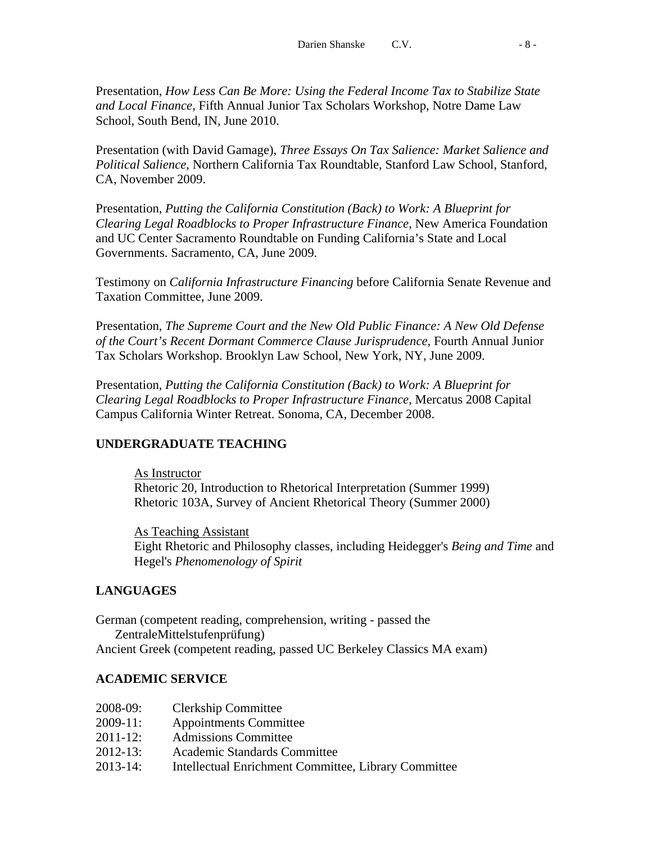Presentation, *How Less Can Be More: Using the Federal Income Tax to Stabilize State and Local Finance*, Fifth Annual Junior Tax Scholars Workshop, Notre Dame Law School, South Bend, IN, June 2010.

Presentation (with David Gamage), *Three Essays On Tax Salience: Market Salience and Political Salience*, Northern California Tax Roundtable, Stanford Law School, Stanford, CA, November 2009.

Presentation, *Putting the California Constitution (Back) to Work: A Blueprint for Clearing Legal Roadblocks to Proper Infrastructure Finance*, New America Foundation and UC Center Sacramento Roundtable on Funding California's State and Local Governments. Sacramento, CA, June 2009.

Testimony on *California Infrastructure Financing* before California Senate Revenue and Taxation Committee, June 2009.

Presentation, *The Supreme Court and the New Old Public Finance: A New Old Defense of the Court's Recent Dormant Commerce Clause Jurisprudence*, Fourth Annual Junior Tax Scholars Workshop. Brooklyn Law School, New York, NY, June 2009.

Presentation, *Putting the California Constitution (Back) to Work: A Blueprint for Clearing Legal Roadblocks to Proper Infrastructure Finance*, Mercatus 2008 Capital Campus California Winter Retreat. Sonoma, CA, December 2008.

## **UNDERGRADUATE TEACHING**

As Instructor Rhetoric 20, Introduction to Rhetorical Interpretation (Summer 1999) Rhetoric 103A, Survey of Ancient Rhetorical Theory (Summer 2000)

As Teaching Assistant Eight Rhetoric and Philosophy classes, including Heidegger's *Being and Time* and Hegel's *Phenomenology of Spirit*

## **LANGUAGES**

German (competent reading, comprehension, writing - passed the ZentraleMittelstufenprüfung) Ancient Greek (competent reading, passed UC Berkeley Classics MA exam)

## **ACADEMIC SERVICE**

- 2008-09: Clerkship Committee
- 2009-11: Appointments Committee
- 2011-12: Admissions Committee
- 2012-13: Academic Standards Committee
- 2013-14: Intellectual Enrichment Committee, Library Committee